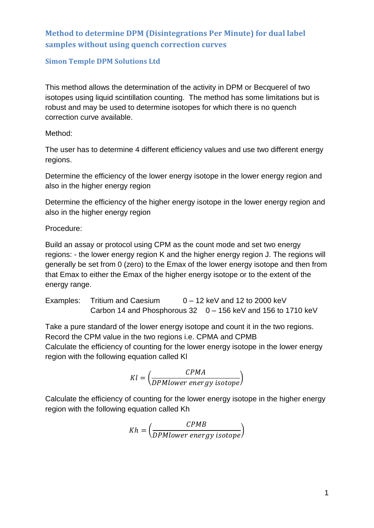# **Method to determine DPM (Disintegrations Per Minute) for dual label samples without using quench correction curves**

### **Simon Temple DPM Solutions Ltd**

This method allows the determination of the activity in DPM or Becquerel of two isotopes using liquid scintillation counting. The method has some limitations but is robust and may be used to determine isotopes for which there is no quench correction curve available.

Method:

The user has to determine 4 different efficiency values and use two different energy regions.

Determine the efficiency of the lower energy isotope in the lower energy region and also in the higher energy region

Determine the efficiency of the higher energy isotope in the lower energy region and also in the higher energy region

Procedure:

Build an assay or protocol using CPM as the count mode and set two energy regions: - the lower energy region K and the higher energy region J. The regions will generally be set from 0 (zero) to the Emax of the lower energy isotope and then from that Emax to either the Emax of the higher energy isotope or to the extent of the energy range.

Examples: Tritium and Caesium 0 – 12 keV and 12 to 2000 keV Carbon 14 and Phosphorous 32 0 – 156 keV and 156 to 1710 keV

Take a pure standard of the lower energy isotope and count it in the two regions. Record the CPM value in the two regions i.e. CPMA and CPMB Calculate the efficiency of counting for the lower energy isotope in the lower energy region with the following equation called Kl

$$
Kl = \left(\frac{CPMA}{DPMlower\ energy\ isotope}\right)
$$

Calculate the efficiency of counting for the lower energy isotope in the higher energy region with the following equation called Kh

$$
Kh = \left(\frac{CPMB}{DPMlower\ energy\ isotope}\right)
$$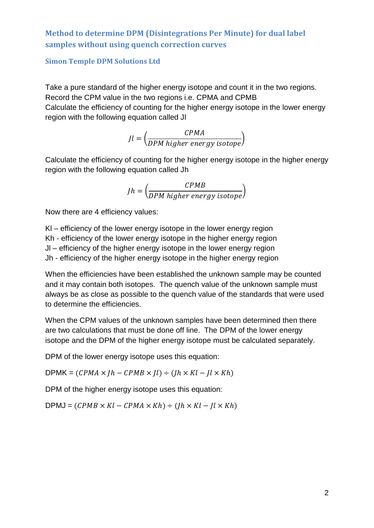# **Method to determine DPM (Disintegrations Per Minute) for dual label samples without using quench correction curves**

### **Simon Temple DPM Solutions Ltd**

Take a pure standard of the higher energy isotope and count it in the two regions. Record the CPM value in the two regions i.e. CPMA and CPMB Calculate the efficiency of counting for the higher energy isotope in the lower energy region with the following equation called Jl

$$
Jl = \left(\frac{CPMA}{DPM higher energy isotope}\right)
$$

Calculate the efficiency of counting for the higher energy isotope in the higher energy region with the following equation called Jh

$$
Jh = \left(\frac{CPMB}{DPM\ higher\ energy\ isotope}\right)
$$

Now there are 4 efficiency values:

Kl – efficiency of the lower energy isotope in the lower energy region Kh - efficiency of the lower energy isotope in the higher energy region Jl – efficiency of the higher energy isotope in the lower energy region Jh - efficiency of the higher energy isotope in the higher energy region

When the efficiencies have been established the unknown sample may be counted and it may contain both isotopes. The quench value of the unknown sample must always be as close as possible to the quench value of the standards that were used to determine the efficiencies.

When the CPM values of the unknown samples have been determined then there are two calculations that must be done off line. The DPM of the lower energy isotope and the DPM of the higher energy isotope must be calculated separately.

DPM of the lower energy isotope uses this equation:

DPMK =  $(CPMA \times Jh - CPMB \times Jl) \div (Jh \times Kl - Jl \times Kh)$ 

DPM of the higher energy isotope uses this equation:

 $DPMJ = (CPMB \times Kl - CPMA \times Kh) \div (Jh \times Kl - Jl \times Kh)$